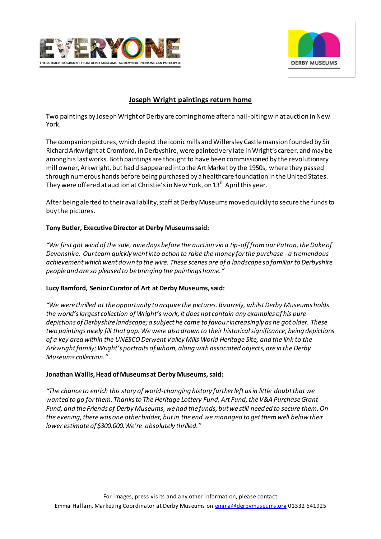



# **Joseph Wright paintings return home**

Two paintings by Joseph Wright of Derby are coming home after a nail-biting win at auction in New York.

The companion pictures, which depict the iconic mills and Willersley Castle mansion founded by Sir Richard Arkwright at Cromford, in Derbyshire, were painted very late in Wright's career, and may be among his last works. Both paintings are thought to have been commissioned by the revolutionary mill owner, Arkwright, but had disappeared into the Art Market by the 1950s, where they passed through numerous hands before being purchased by a healthcare foundation in the United States. They were offered at auction at Christie's in New York, on  $13<sup>th</sup>$  April this year.

After being alerted to their availability, staff at Derby Museums moved quickly to secure the funds to buy the pictures.

#### **Tony Butler, Executive Director at Derby Museums said:**

*"We first got wind of the sale, nine days before the auction via a tip-off from our Patron, the Duke of Devonshire. Our team quickly went into action to raise the money for the purchase - a tremendous achievement which went down to the wire. These scenes are of a landscape so familiar to Derbyshire people and are so pleased to be bringing the paintings home."*

#### **Lucy Bamford, Senior Curator of Art at Derby Museums, said:**

*"We were thrilled at the opportunity to acquire the pictures. Bizarrely, whilst Derby Museums holds the world's largest collection of Wright's work, it does not contain any examples of his pure depictions of Derbyshire landscape; a subject he came to favour increasingly as he got older. These two paintings nicely fill that gap. We were also drawn to their historical significance, being depictions of a key area within the UNESCO Derwent Valley Mills World Heritage Site, and the link to the Arkwright family; Wright's portraits of whom, along with associated objects, are in the Derby Museums collection."* 

#### **Jonathan Wallis, Head of Museums at Derby Museums, said:**

*"The chance to enrich this story of world-changing history further left us in little doubt that we wanted to go for them. Thanks to The Heritage Lottery Fund, Art Fund, the V&A Purchase Grant Fund, and the Friends of Derby Museums, we had the funds, but we still needed to secure them. On the evening, there was one other bidder, but in the end we managed to get them well below their lower estimate of \$300,000.We're absolutely thrilled."*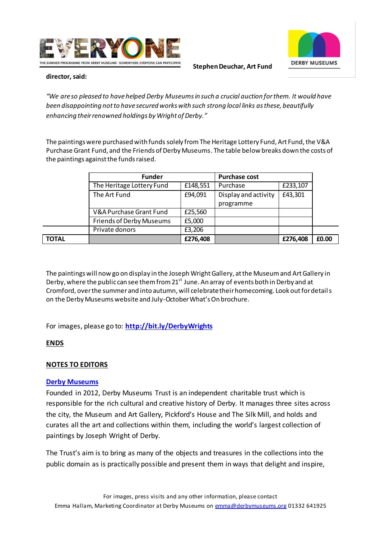



**Stephen Deuchar, Art Fund** 

#### **director, said:**

*"We are so pleased to have helped Derby Museums in such a crucial auction for them. It would have been disappointing not to have secured works with such strong local links as these, beautifully enhancing their renowned holdings by Wright of Derby."*

The paintings were purchased with funds solely from The Heritage Lottery Fund, Art Fund, the V&A Purchase Grant Fund, and the Friends of Derby Museums. The table below breaks down the costs of the paintings against the funds raised.

|              | <b>Funder</b>                   |          | <b>Purchase cost</b> |          |       |
|--------------|---------------------------------|----------|----------------------|----------|-------|
|              | The Heritage Lottery Fund       | £148,551 | Purchase             | £233,107 |       |
|              | The Art Fund                    | £94,091  | Display and activity | £43,301  |       |
|              |                                 |          | programme            |          |       |
|              | V&A Purchase Grant Fund         | £25,560  |                      |          |       |
|              | <b>Friends of Derby Museums</b> | £5,000   |                      |          |       |
|              | Private donors                  | £3,206   |                      |          |       |
| <b>TOTAL</b> |                                 | £276,408 |                      | £276,408 | £0.00 |

The paintings will now go on display in the Joseph Wright Gallery, at the Museum and Art Gallery in Derby, where the public can see them from  $21<sup>st</sup>$  June. An array of events both in Derby and at Cromford, over the summer and into autumn, will celebrate their homecoming. Look out for details on the Derby Museums website and July-October What's On brochure.

For images, please go to: **<http://bit.ly/DerbyWrights>**

# **ENDS**

### **NOTES TO EDITORS**

### **[Derby Museums](http://www.derbymuseums.org/)**

Founded in 2012, Derby Museums Trust is an independent charitable trust which is responsible for the rich cultural and creative history of Derby. It manages three sites across the city, the Museum and Art Gallery, Pickford's House and The Silk Mill, and holds and curates all the art and collections within them, including the world's largest collection of paintings by Joseph Wright of Derby.

The Trust's aim is to bring as many of the objects and treasures in the collections into the public domain as is practically possible and present them in ways that delight and inspire,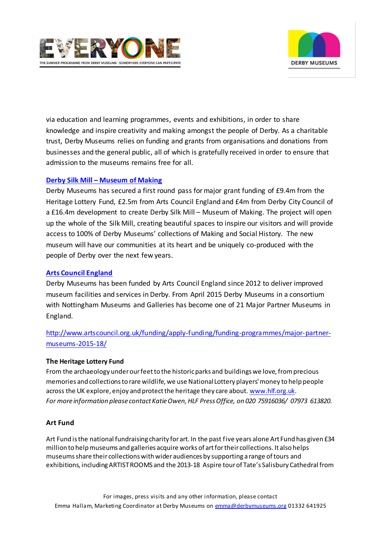



via education and learning programmes, events and exhibitions, in order to share knowledge and inspire creativity and making amongst the people of Derby. As a charitable trust, Derby Museums relies on funding and grants from organisations and donations from businesses and the general public, all of which is gratefully received in order to ensure that admission to the museums remains free for all.

# **Derby Silk Mill – [Museum of Making](http://derbysilkmill.tumblr.com/)**

Derby Museums has secured a first round pass for major grant funding of £9.4m from the Heritage Lottery Fund, £2.5m from Arts Council England and £4m from Derby City Council of a £16.4m development to create Derby Silk Mill – Museum of Making. The project will open up the whole of the Silk Mill, creating beautiful spaces to inspire our visitors and will provide access to 100% of Derby Museums' collections of Making and Social History. The new museum will have our communities at its heart and be uniquely co-produced with the people of Derby over the next few years.

### **[Arts Council England](http://www.artscouncil.org.uk/funding/apply-funding/funding-programmes/major-partner-museums-2015-18/)**

Derby Museums has been funded by Arts Council England since 2012 to deliver improved museum facilities and services in Derby. From April 2015 Derby Museums in a consortium with Nottingham Museums and Galleries has become one of 21 Major Partner Museums in England.

# [http://www.artscouncil.org.uk/funding/apply-funding/funding-programmes/major-partner](http://www.artscouncil.org.uk/funding/apply-funding/funding-programmes/major-partner-museums-2015-18/)[museums-2015-18/](http://www.artscouncil.org.uk/funding/apply-funding/funding-programmes/major-partner-museums-2015-18/)

### **The Heritage Lottery Fund**

From the archaeology under our feet to the historic parks and buildings we love, from precious memories and collections to rare wildlife, we use National Lottery players' money to help people across the UK explore, enjoy and protect the heritage they care about[. www.hlf.org.uk](http://www.hlf.org.uk/). *For more information please contact Katie Owen, HLF Press Office, on 020 75916036/ 07973 613820.*

### **Art Fund**

Art Fund is the national fundraising charity for art. In the past five years alone Art Fund has given £34 million to help museums and galleries acquire works of art for their collections. It also helps museums share their collections with wider audiences by supporting a range of tours and exhibitions, including ARTIST ROOMS and the 2013-18 Aspire tour of Tate's Salisbury Cathedral from